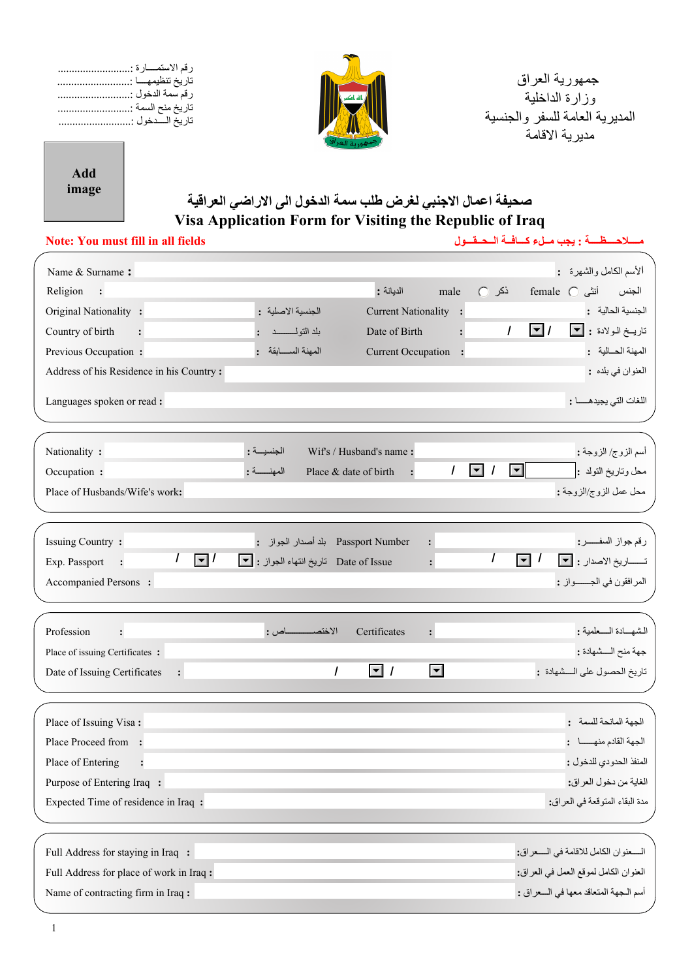| رقم الاستمـــارة :.  |
|----------------------|
| تاريخ تنظيمهــــا :. |
| رقم سمة الدخول :     |
| تاريخ منح السمة :    |
| تاريخ السدخول :      |



 جمهورية العراق وزارة الداخلية المديرية العامة للسفر والجنسية مديرية الاقامة

**Add image**

## **صحيفة اعمال الاجنبي لغرض طلب سمة الدخول الى الاراضي العراقية Visa Application Form for Visiting the Republic of Iraq**

### **Note: You must fill in all fields الــحــقـــول كـــافــة مــلء يجب : مــــلاحــــظــــة**

| مسلاحسظسة : يجب ملء كسافسة السحسقول |  |  |
|-------------------------------------|--|--|
|-------------------------------------|--|--|

| Name & Surname:                            | الأسم الكامل والشهرة :                                                                                                                           |
|--------------------------------------------|--------------------------------------------------------------------------------------------------------------------------------------------------|
| Religion                                   | male<br>$C$ ذکر<br>الجنس أنثى female ○<br>الديانة :                                                                                              |
| Original Nationality :                     | الجنسية الحالية :<br><b>Current Nationality</b><br>الجنسية الاصلية :                                                                             |
| Country of birth<br>$\ddot{\cdot}$         | $\boxed{\blacksquare}$<br>تاريــخ الـولادة : [ _<br>بلد التولــــــــد<br>$\prime$<br>Date of Birth                                              |
| Previous Occupation:                       | المهنة الحسالية:<br>المهنة السابقة:<br>Current Occupation :                                                                                      |
| Address of his Residence in his Country:   | العنوان في بلده :                                                                                                                                |
| Languages spoken or read:                  | اللغات التي يجيدهـــــا :                                                                                                                        |
| Nationality :                              | Wif's / Husband's name:<br>أسم الزوج/ الزوجة :<br>الجنسيسة :                                                                                     |
| Occupation :                               | $\vert \bullet \vert$<br>$\vert \mathbf{v} \vert$<br>I<br>محل وتاريخ التولد :<br>المهنسة:<br>Place & date of birth<br>$\prime$<br>$\ddot{\cdot}$ |
| Place of Husbands/Wife's work:             | محل عمل الزوج/الزوجة :                                                                                                                           |
|                                            |                                                                                                                                                  |
|                                            |                                                                                                                                                  |
| Issuing Country:                           | رقم جواز السفـــــــر:<br>: بلد أصدار الجواز Passport Number<br>$\ddot{\cdot}$                                                                   |
| $\Box'$<br>Exp. Passport<br>$\ddot{\cdot}$ | تسساريخ الاصدار : ٢<br>$\overline{\mathbf{v}}$ /<br>Date of Issue تاريخ انتهاء الجواز :<br>$\ddot{\cdot}$                                        |
| Accompanied Persons :                      | المرافقون في الجــــواز :                                                                                                                        |
|                                            |                                                                                                                                                  |
| Profession<br>$\ddot{\cdot}$               | الشهسادة السعلمية :<br>الاختصــــــاص :<br>Certificates<br>$\ddot{\cdot}$                                                                        |
| Place of issuing Certificates:             | جهة منح السشهادة :                                                                                                                               |
| $\colon$<br>Date of Issuing Certificates   | $\boxed{\mathbf{r}}$<br>$\Box$ /<br>تاريخ الحصول على السشهادة :<br>$\prime$                                                                      |
|                                            |                                                                                                                                                  |
| Place of Issuing Visa:                     | الجهة المانحة للسمة:                                                                                                                             |
| Place Proceed from :                       | الجهة القادم منهسا:                                                                                                                              |
| Place of Entering<br>$\ddot{\cdot}$        | المنفذ الحدودي للدخول :                                                                                                                          |
| Purpose of Entering Iraq :                 | الغاية من دخول العراق:                                                                                                                           |
| Expected Time of residence in Iraq:        | مدة البقاء المتوقعة في العراق:                                                                                                                   |
|                                            |                                                                                                                                                  |
| Full Address for staying in Iraq :         | السعنوان الكامل للاقامة في السعراق:                                                                                                              |
| Full Address for place of work in Iraq:    | العنوان الكامل لموقع العمل في العراق:                                                                                                            |
| Name of contracting firm in Iraq:          | أسم الجهة المتعاقد معها في المعراق :                                                                                                             |
|                                            |                                                                                                                                                  |